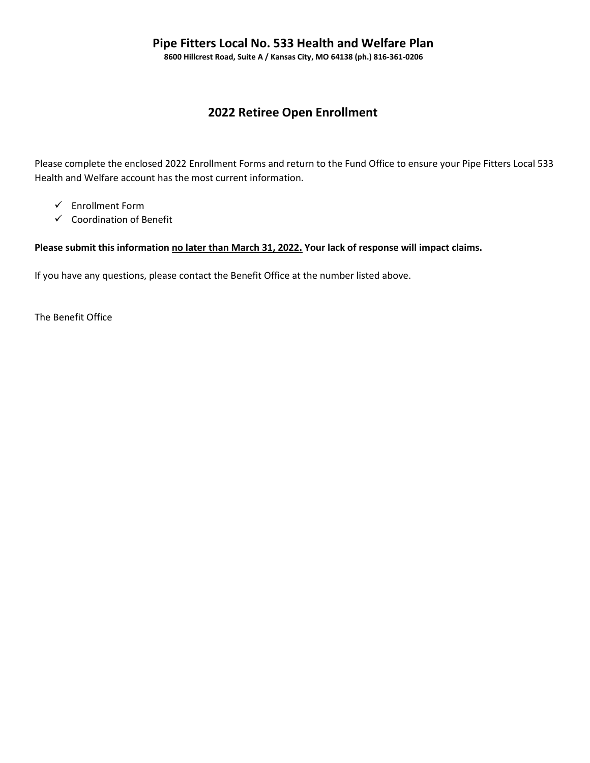8600 Hillcrest Road, Suite A / Kansas City, MO 64138 (ph.) 816-361-0206

# 2022 Retiree Open Enrollment

Please complete the enclosed 2022 Enrollment Forms and return to the Fund Office to ensure your Pipe Fitters Local 533 Health and Welfare account has the most current information.

- $\checkmark$  Enrollment Form
- $\checkmark$  Coordination of Benefit

### Please submit this information no later than March 31, 2022. Your lack of response will impact claims.

If you have any questions, please contact the Benefit Office at the number listed above.

The Benefit Office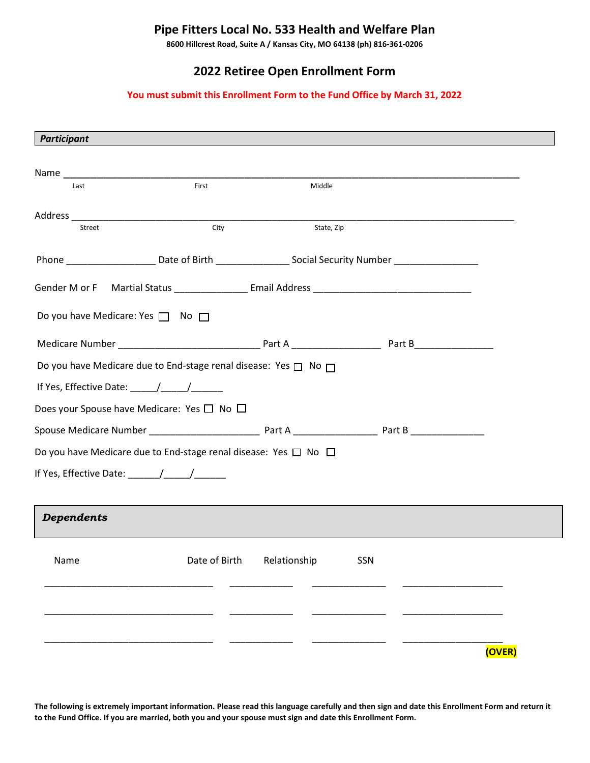# Pipe Fitters Local No. 533 Health and Welfare Plan

8600 Hillcrest Road, Suite A / Kansas City, MO 64138 (ph) 816-361-0206

# 2022 Retiree Open Enrollment Form

### You must submit this Enrollment Form to the Fund Office by March 31, 2022

| Participant                                                                                                   |               |              |     |        |
|---------------------------------------------------------------------------------------------------------------|---------------|--------------|-----|--------|
|                                                                                                               |               |              |     |        |
|                                                                                                               |               |              |     |        |
| Last                                                                                                          | First         | Middle       |     |        |
|                                                                                                               |               |              |     |        |
| Street                                                                                                        | City          | State, Zip   |     |        |
| Phone ______________________Date of Birth _____________________Social Security Number _______________________ |               |              |     |        |
|                                                                                                               |               |              |     |        |
|                                                                                                               |               |              |     |        |
| Do you have Medicare: Yes $\Box$ No $\Box$                                                                    |               |              |     |        |
|                                                                                                               |               |              |     |        |
| Do you have Medicare due to End-stage renal disease: Yes $\Box$ No $\Box$                                     |               |              |     |        |
|                                                                                                               |               |              |     |        |
| Does your Spouse have Medicare: Yes $\square$ No $\square$                                                    |               |              |     |        |
|                                                                                                               |               |              |     |        |
| Do you have Medicare due to End-stage renal disease: Yes $\Box$ No $\Box$                                     |               |              |     |        |
|                                                                                                               |               |              |     |        |
|                                                                                                               |               |              |     |        |
| <b>Dependents</b>                                                                                             |               |              |     |        |
|                                                                                                               |               |              |     |        |
| Name                                                                                                          | Date of Birth | Relationship | SSN |        |
|                                                                                                               |               |              |     |        |
|                                                                                                               |               |              |     |        |
|                                                                                                               |               |              |     |        |
|                                                                                                               |               |              |     | (OVER) |

The following is extremely important information. Please read this language carefully and then sign and date this Enrollment Form and return it to the Fund Office. If you are married, both you and your spouse must sign and date this Enrollment Form.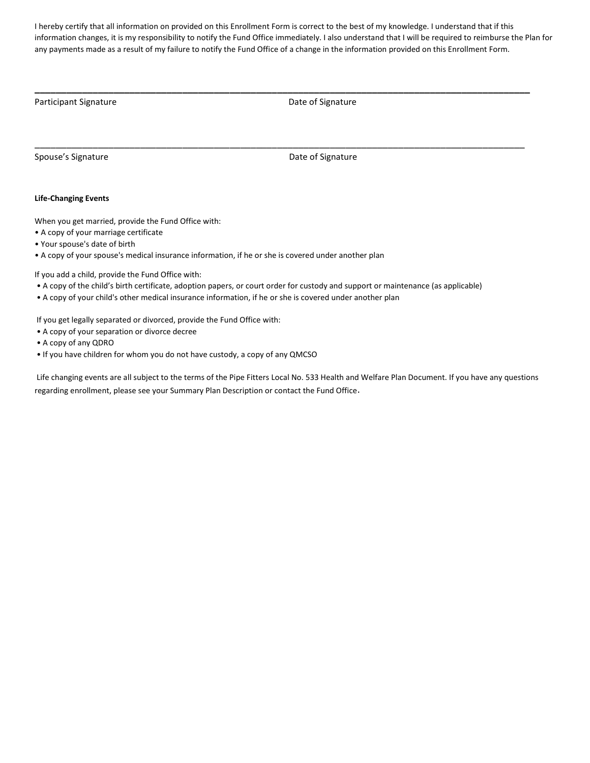I hereby certify that all information on provided on this Enrollment Form is correct to the best of my knowledge. I understand that if this information changes, it is my responsibility to notify the Fund Office immediately. I also understand that I will be required to reimburse the Plan for any payments made as a result of my failure to notify the Fund Office of a change in the information provided on this Enrollment Form.

\_\_\_\_\_\_\_\_\_\_\_\_\_\_\_\_\_\_\_\_\_\_\_\_\_\_\_\_\_\_\_\_\_\_\_\_\_\_\_\_\_\_\_\_\_\_\_\_\_\_\_\_\_\_\_\_\_\_\_\_\_\_\_\_\_\_\_\_\_\_\_\_\_\_\_\_\_\_\_\_\_\_\_\_\_\_\_\_\_\_\_\_\_\_

\_\_\_\_\_\_\_\_\_\_\_\_\_\_\_\_\_\_\_\_\_\_\_\_\_\_\_\_\_\_\_\_\_\_\_\_\_\_\_\_\_\_\_\_\_\_\_\_\_\_\_\_\_\_\_\_\_\_\_\_\_\_\_\_\_\_\_\_\_\_\_\_\_\_\_\_\_\_\_\_\_\_\_\_\_\_\_\_\_\_\_\_\_

Participant Signature **Date of Signature Date of Signature Date of Signature** 

Spouse's Signature **Date of Signature Date of Signature Date of Signature** 

#### Life-Changing Events

When you get married, provide the Fund Office with:

- A copy of your marriage certificate
- Your spouse's date of birth
- A copy of your spouse's medical insurance information, if he or she is covered under another plan

If you add a child, provide the Fund Office with:

- A copy of the child's birth certificate, adoption papers, or court order for custody and support or maintenance (as applicable)
- A copy of your child's other medical insurance information, if he or she is covered under another plan

If you get legally separated or divorced, provide the Fund Office with:

- A copy of your separation or divorce decree
- A copy of any QDRO
- If you have children for whom you do not have custody, a copy of any QMCSO

 Life changing events are all subject to the terms of the Pipe Fitters Local No. 533 Health and Welfare Plan Document. If you have any questions regarding enrollment, please see your Summary Plan Description or contact the Fund Office.